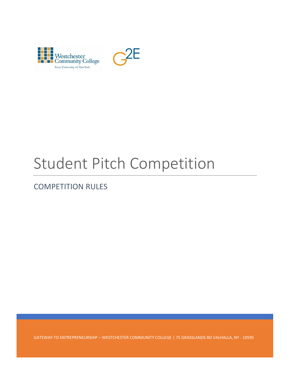

# Student Pitch Competition

# COMPETITION RULES

GATEWAY TO ENTREPRENEURSHIP – WESTCHESTER COMMUNITY COLLEGE | 75 GRASSLANDS RD VALHALLA, NY - 10595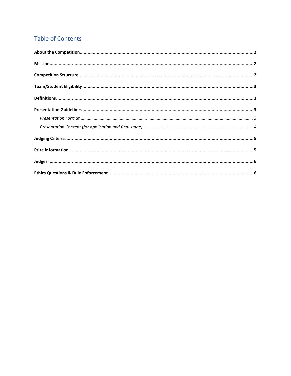# **Table of Contents**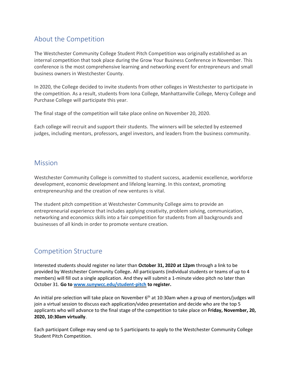## <span id="page-2-0"></span>About the Competition

The Westchester Community College Student Pitch Competition was originally established as an internal competition that took place during the Grow Your Business Conference in November. This conference is the most comprehensive learning and networking event for entrepreneurs and small business owners in Westchester County.

In 2020, the College decided to invite students from other colleges in Westchester to participate in the competition. As a result, students from Iona College, Manhattanville College, Mercy College and Purchase College will participate this year.

The final stage of the competition will take place online on November 20, 2020.

Each college will recruit and support their students. The winners will be selected by esteemed judges, including mentors, professors, angel investors, and leaders from the business community.

### <span id="page-2-1"></span>**Mission**

Westchester Community College is committed to student success, academic excellence, workforce development, economic development and lifelong learning. In this context, promoting entrepreneurship and the creation of new ventures is vital.

The student pitch competition at Westchester Community College aims to provide an entrepreneurial experience that includes applying creativity, problem solving, communication, networking and economics skills into a fair competition for students from all backgrounds and businesses of all kinds in order to promote venture creation.

## <span id="page-2-2"></span>Competition Structure

Interested students should register no later than **October 31, 2020 at 12pm** through a link to be provided by Westchester Community College**.** All participants (individual students or teams of up to 4 members) will fill out a single application. And they will submit a 1-minute video pitch no later than October 31. **Go to [www.sunywcc.edu/student-pitch](http://www.sunywcc.edu/student-pitch) to register.**

An initial pre-selection will take place on November 6<sup>th</sup> at 10:30am when a group of mentors/judges will join a virtual session to discuss each application/video presentation and decide who are the top 5 applicants who will advance to the final stage of the competition to take place on **Friday, November, 20, 2020, 10:30am virtually**.

Each participant College may send up to 5 participants to apply to the Westchester Community College Student Pitch Competition.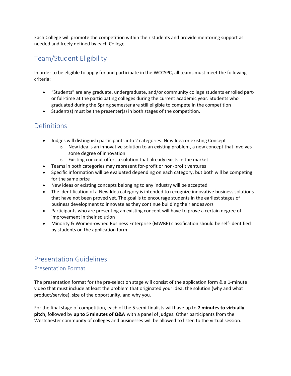Each College will promote the competition within their students and provide mentoring support as needed and freely defined by each College.

## <span id="page-3-0"></span>Team/Student Eligibility

In order to be eligible to apply for and participate in the WCCSPC, all teams must meet the following criteria:

- "Students" are any graduate, undergraduate, and/or community college students enrolled partor full-time at the participating colleges during the current academic year. Students who graduated during the Spring semester are still eligible to compete in the competition
- Student(s) must be the presenter(s) in both stages of the competition.

# <span id="page-3-1"></span>Definitions

- Judges will distinguish participants into 2 categories: New Idea or existing Concept
	- $\circ$  New idea is an innovative solution to an existing problem, a new concept that involves some degree of innovation
	- $\circ$  Existing concept offers a solution that already exists in the market
- Teams in both categories may represent for-profit or non-profit ventures
- Specific information will be evaluated depending on each category, but both will be competing for the same prize
- New ideas or existing concepts belonging to any industry will be accepted
- The identification of a New Idea category is intended to recognize innovative business solutions that have not been proved yet. The goal is to encourage students in the earliest stages of business development to innovate as they continue building their endeavors
- Participants who are presenting an existing concept will have to prove a certain degree of improvement in their solution
- Minority & Women-owned Business Enterprise (MWBE) classification should be self-identified by students on the application form.

## <span id="page-3-2"></span>Presentation Guidelines

#### <span id="page-3-3"></span>Presentation Format

The presentation format for the pre-selection stage will consist of the application form & a 1-minute video that must include at least the problem that originated your idea, the solution (why and what product/service), size of the opportunity, and why you.

For the final stage of competition, each of the 5 semi-finalists will have up to **7 minutes to virtually pitch**, followed by **up to 5 minutes of Q&A** with a panel of judges. Other participants from the Westchester community of colleges and businesses will be allowed to listen to the virtual session.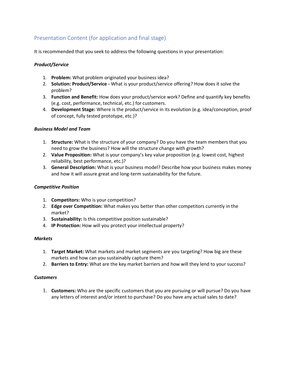#### <span id="page-4-0"></span>Presentation Content (for application and final stage)

It is recommended that you seek to address the following questions in your presentation:

#### *Product/Service*

- 1. **Problem:** What problem originated your business idea?
- 2. **Solution: Product/Service -** What is your product/service offering? How does it solve the problem?
- 3. **Function and Benefit:** How does your product/service work? Define and quantify key benefits (e.g. cost, performance, technical, etc.) for customers.
- 4. **Development Stage:** Where is the product/service in its evolution (e.g. idea/conception, proof of concept, fully tested prototype, etc.)?

#### *Business Model and Team*

- 1. **Structure:** What is the structure of your company? Do you have the team members that you need to grow the business? How will the structure change with growth?
- 2. **Value Proposition:** What is your company's key value proposition (e.g. lowest cost, highest reliability, best performance, etc.)?
- 3. **General Description:** What is your business model? Describe how your business makes money and how it will assure great and long-term sustainability for the future.

#### *Competitive Position*

- 1. **Competitors:** Who is your competition?
- 2. **Edge over Competition:** What makes you better than other competitors currently in the market?
- 3. **Sustainability:** Is this competitive position sustainable?
- 4. **IP Protection:** How will you protect your intellectual property?

#### *Markets*

- 1. **Target Market:** What markets and market segments are you targeting? How big are these markets and how can you sustainably capture them?
- 2. **Barriers to Entry:** What are the key market barriers and how will they lend to your success?

#### *Customers*

1. **Customers:** Who are the specific customers that you are pursuing or will pursue? Do you have any letters of interest and/or intent to purchase? Do you have any actual sales to date?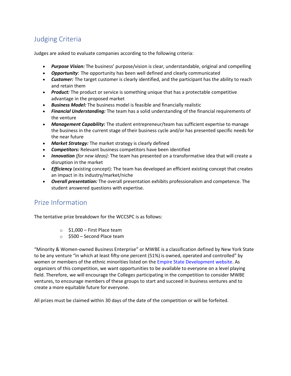# <span id="page-5-0"></span>Judging Criteria

Judges are asked to evaluate companies according to the following criteria:

- *Purpose Vision:* The business' purpose/vision is clear, understandable, original and compelling
- *Opportunity*: The opportunity has been well defined and clearly communicated
- *Customer:* The target customer is clearly identified, and the participant has the ability to reach and retain them
- *Product:* The product or service is something unique that has a protectable competitive advantage in the proposed market
- *Business Model:* The business model is feasible and financially realistic
- *Financial Understanding:* The team has a solid understanding of the financial requirements of the venture
- *Management Capability:* The student entrepreneur/team has sufficient expertise to manage the business in the current stage of their business cycle and/or has presented specific needs for the near future
- *Market Strategy:* The market strategy is clearly defined
- *Competitors:* Relevant business competitors have been identified
- *Innovation (for new ideas):* The team has presented on a transformative idea that will create a disruption in the market
- *Efficiency* (existing concept): The team has developed an efficient existing concept that creates an impact in its industry/market/niche
- *Overall presentation:* The overall presentation exhibits professionalism and competence. The student answered questions with expertise.

## <span id="page-5-1"></span>Prize Information

The tentative prize breakdown for the WCCSPC is as follows:

- $\circ$  \$1,000 First Place team
- o \$500 Second Place team

"Minority & Women-owned Business Enterprise" or MWBE is a classification defined by New York State to be any venture "in which at least fifty-one percent (51%) is owned, operated and controlled" by women or members of the ethnic minorities listed on the Empire State Development website. As organizers of this competition, we want opportunities to be available to everyone on a level playing field. Therefore, we will encourage the Colleges participating in the competition to consider MWBE ventures, to encourage members of these groups to start and succeed in business ventures and to create a more equitable future for everyone.

All prizes must be claimed within 30 days of the date of the competition or will be forfeited.